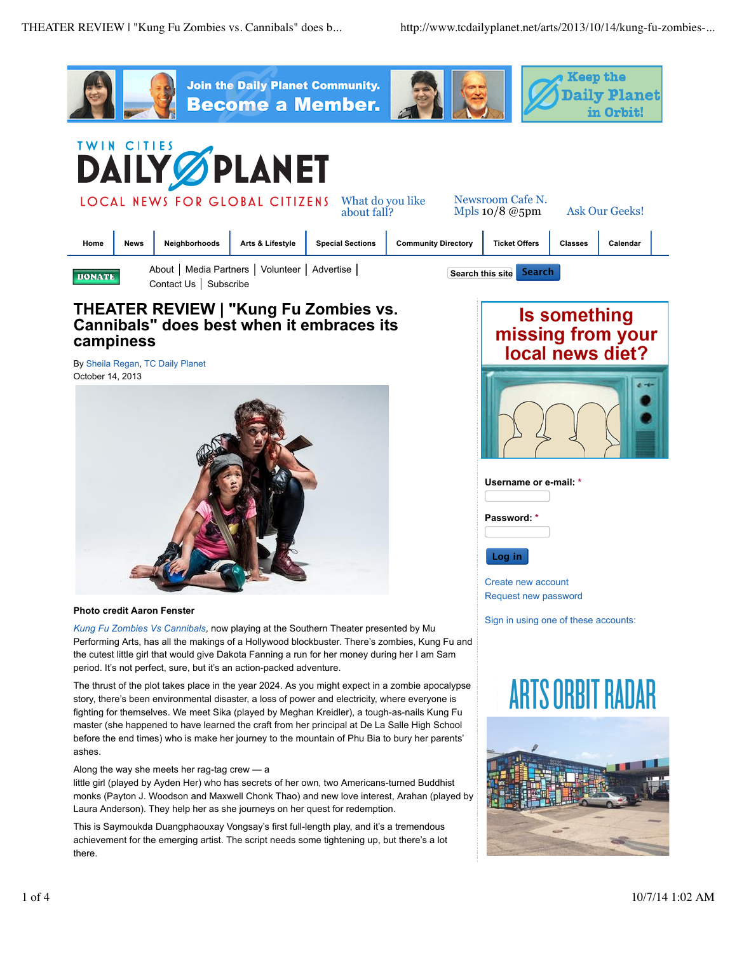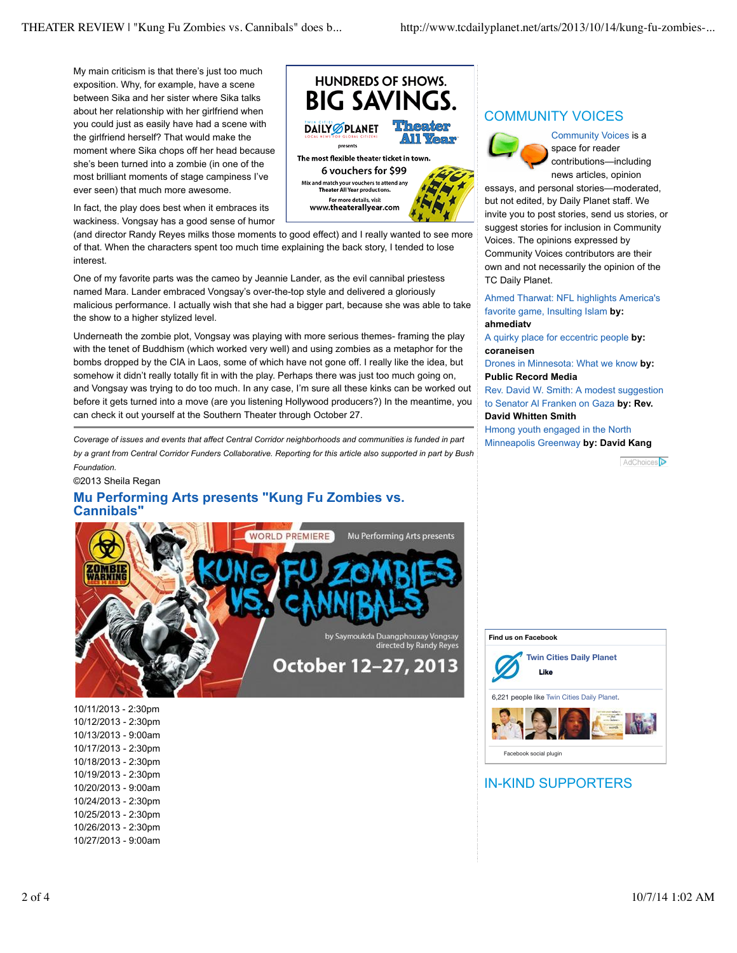My main criticism is that there's just too much exposition. Why, for example, have a scene between Sika and her sister where Sika talks about her relationship with her girlfriend when you could just as easily have had a scene with the girlfriend herself? That would make the moment where Sika chops off her head because she's been turned into a zombie (in one of the most brilliant moments of stage campiness I've ever seen) that much more awesome.

In fact, the play does best when it embraces its wackiness. Vongsay has a good sense of humor

(and director Randy Reyes milks those moments to good effect) and I really wanted to see more of that. When the characters spent too much time explaining the back story, I tended to lose interest.

One of my favorite parts was the cameo by Jeannie Lander, as the evil cannibal priestess named Mara. Lander embraced Vongsay's over-the-top style and delivered a gloriously malicious performance. I actually wish that she had a bigger part, because she was able to take the show to a higher stylized level.

Underneath the zombie plot, Vongsay was playing with more serious themes- framing the play with the tenet of Buddhism (which worked very well) and using zombies as a metaphor for the bombs dropped by the CIA in Laos, some of which have not gone off. I really like the idea, but somehow it didn't really totally fit in with the play. Perhaps there was just too much going on, and Vongsay was trying to do too much. In any case, I'm sure all these kinks can be worked out before it gets turned into a move (are you listening Hollywood producers?) In the meantime, you can check it out yourself at the Southern Theater through October 27.

*Coverage of issues and events that affect Central Corridor neighborhoods and communities is funded in part by a grant from Central Corridor Funders Collaborative. Reporting for this article also supported in part by Bush Foundation.*

#### ©2013 Sheila Regan

## **Mu Performing Arts presents "Kung Fu Zombies vs. Cannibals"**



10/11/2013 - 2:30pm 10/12/2013 - 2:30pm 10/13/2013 - 9:00am 10/17/2013 - 2:30pm 10/18/2013 - 2:30pm 10/19/2013 - 2:30pm 10/20/2013 - 9:00am 10/24/2013 - 2:30pm 10/25/2013 - 2:30pm 10/26/2013 - 2:30pm 10/27/2013 - 9:00am



## COMMUNITY VOICES



Community Voices is a space for reader contributions—including news articles, opinion

essays, and personal stories—moderated, but not edited, by Daily Planet staff. We invite you to post stories, send us stories, or suggest stories for inclusion in Community Voices. The opinions expressed by Community Voices contributors are their own and not necessarily the opinion of the TC Daily Planet.

Ahmed Tharwat: NFL highlights America's favorite game, Insulting Islam **by:**

### **ahmediatv**

A quirky place for eccentric people **by: coraneisen**

Drones in Minnesota: What we know **by: Public Record Media**

Rev. David W. Smith: A modest suggestion to Senator Al Franken on Gaza **by: Rev. David Whitten Smith**

Hmong youth engaged in the North Minneapolis Greenway **by: David Kang**

**AdChoices** 



# IN-KIND SUPPORTERS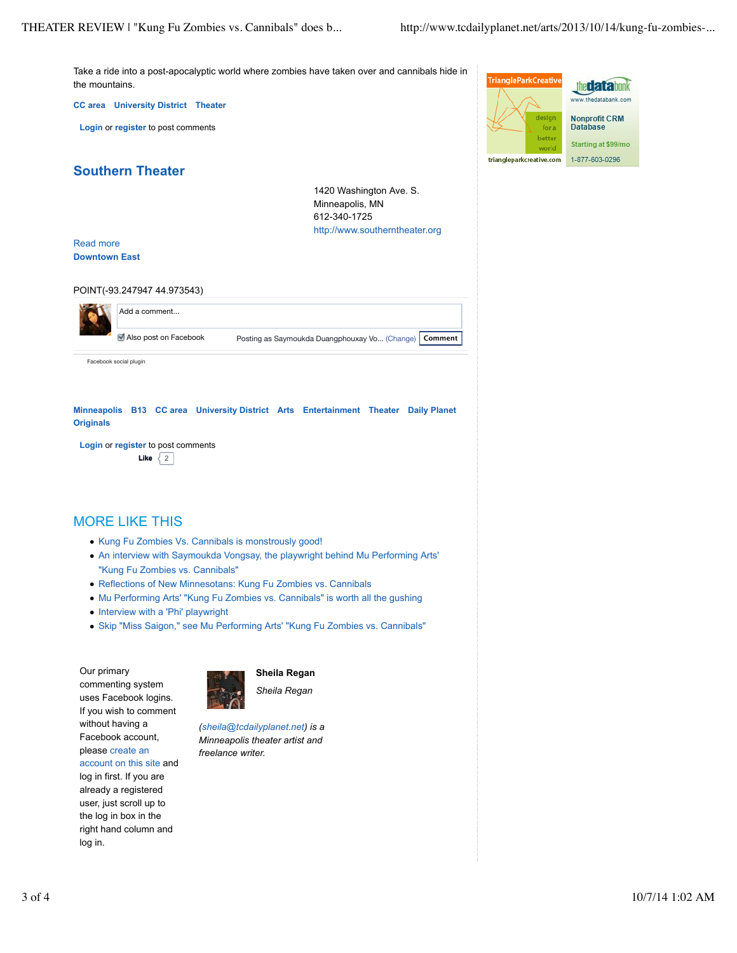Take a ride into a post-apocalyptic world where zombies have taken over and cannibals hide in the mountains.

**CC area University District Theater**

**Login** or **register** to post comments



**Southern Theater**

1420 Washington Ave. S. Minneapolis, MN 612-340-1725 http://www.southerntheater.org

### Read more **Downtown East**

POINT(-93.247947 44.973543)

|  | Add a comment          |                                               |         |
|--|------------------------|-----------------------------------------------|---------|
|  | Also post on Facebook  | Posting as Saymoukda Duangphouxay Vo (Change) | Comment |
|  | Facebook social plugin |                                               |         |

**Minneapolis B13 CC area University District Arts Entertainment Theater Daily Planet Originals**

**Login** or **register** to post comments **Like**  $\sqrt{2}$ 

# MORE LIKE THIS

- Kung Fu Zombies Vs. Cannibals is monstrously good!
- An interview with Saymoukda Vongsay, the playwright behind Mu Performing Arts' "Kung Fu Zombies vs. Cannibals"
- Reflections of New Minnesotans: Kung Fu Zombies vs. Cannibals
- Mu Performing Arts' "Kung Fu Zombies vs. Cannibals" is worth all the gushing
- Interview with a 'Phi' playwright
- Skip "Miss Saigon," see Mu Performing Arts' "Kung Fu Zombies vs. Cannibals"

Our primary commenting system uses Facebook logins. If you wish to comment without having a Facebook account, please create an account on this site and

log in first. If you are already a registered user, just scroll up to the log in box in the right hand column and log in.



**Sheila Regan**

*Sheila Regan*

*(sheila@tcdailyplanet.net) is a Minneapolis theater artist and freelance writer.*

3 of 4 10/7/14 1:02 AM